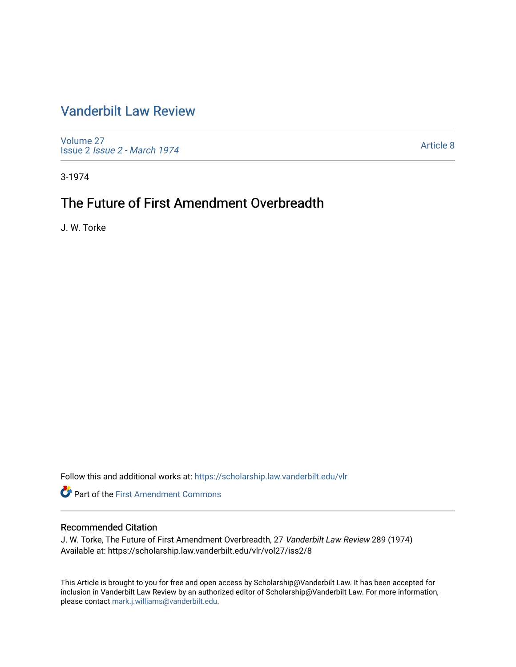## [Vanderbilt Law Review](https://scholarship.law.vanderbilt.edu/vlr)

[Volume 27](https://scholarship.law.vanderbilt.edu/vlr/vol27) Issue 2 [Issue 2 - March 1974](https://scholarship.law.vanderbilt.edu/vlr/vol27/iss2) 

[Article 8](https://scholarship.law.vanderbilt.edu/vlr/vol27/iss2/8) 

3-1974

# The Future of First Amendment Overbreadth

J. W. Torke

Follow this and additional works at: [https://scholarship.law.vanderbilt.edu/vlr](https://scholarship.law.vanderbilt.edu/vlr?utm_source=scholarship.law.vanderbilt.edu%2Fvlr%2Fvol27%2Fiss2%2F8&utm_medium=PDF&utm_campaign=PDFCoverPages)

**Part of the First Amendment Commons** 

## Recommended Citation

J. W. Torke, The Future of First Amendment Overbreadth, 27 Vanderbilt Law Review 289 (1974) Available at: https://scholarship.law.vanderbilt.edu/vlr/vol27/iss2/8

This Article is brought to you for free and open access by Scholarship@Vanderbilt Law. It has been accepted for inclusion in Vanderbilt Law Review by an authorized editor of Scholarship@Vanderbilt Law. For more information, please contact [mark.j.williams@vanderbilt.edu.](mailto:mark.j.williams@vanderbilt.edu)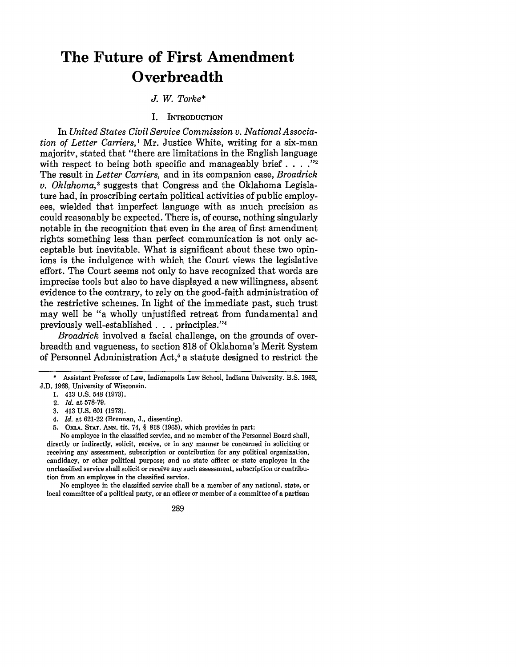# **The Future of First Amendment Overbreadth**

*J. W. Torke\**

#### I. INTRODUCTION

In *United States Civil Service Commission v. National Association of Letter Carriers,'* Mr. Justice White, writing for a six-man majority, stated that "there are limitations in the English language with respect to being both specific and manageably brief  $\ldots$  ."<sup>2</sup> The result in *Letter Carriers,* and in its companion case, *Broadrick v. Oklahoma,3* suggests that Congress and the Oklahoma Legislature had, in proscribing certain political activities of public employees, wielded that imperfect language with as much precision as could reasonably be expected. There is, of course, nothing singularly notable in the recognition that even in the area of first amendment rights something less than perfect communication is not only acceptable but inevitable. What is significant about these two opinions is the indulgence with which the Court views the legislative effort. The Court seems not only to have recognized that words are imprecise tools but also to have displayed a new willingness, absent evidence to the contrary, to rely on the good-faith administration of the restrictive schemes. In light of the immediate past, such trust may well be "a wholly unjustified retreat from fundamental and previously well-established **. . .** principles." <sup>4</sup>

*Broadrick* involved a facial challenge, on the grounds of overbreadth and vagueness, to section 818 of Oklahoma's Merit System of Personnel Administration Act,5 a statute designed to restrict the

- 4. *Id.* at **621-22** (Brennan, **J.,** dissenting).
- **5. OKLA. STAT. ANN. tit. 74,** § **818 (1965),** which provides in part:

No employee in the classified service, and no member of the Personnel Board shall, directly or indirectly, solicit, receive, or in any manner be concerned in soliciting or receiving any assessment, subscription or contribution for any political organization, candidacy, or other political purpose; and no state officer or state employee in the unclassified service shall solicit or receive any such assessment, subscription or contribution from an employee in the classified service.

No employee in the classified service shall be a member of any national, state, or local committee of a political party, or an officer or member of a committee of a partisan

289

<sup>\*</sup> Assistant Professor of Law, Indianapolis Law School, Indiana University. B.S. 1963,

**J.D. 1968,** University of Wisconsin.

**<sup>1.</sup>** 413 **U.S.** 548 **(1973).**

<sup>2.</sup> *Id.* at **578-79.**

**<sup>3.</sup>** 413 **U.S. 601 (1973).**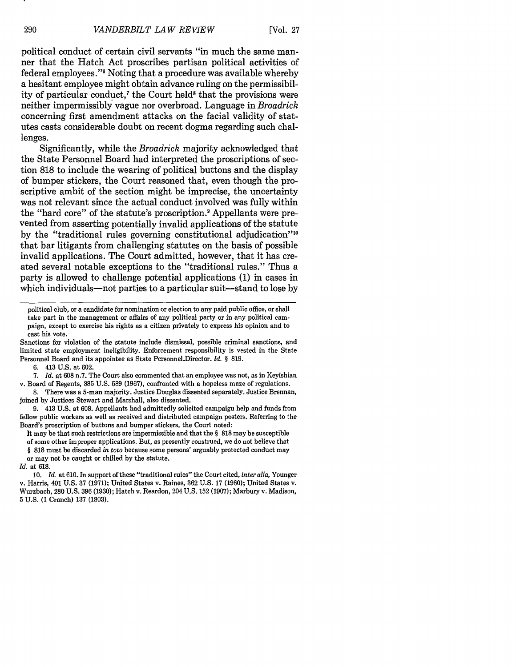political conduct of certain civil servants "in much the same manner that the Hatch Act proscribes partisan political activities of federal employees."' Noting that a procedure was available whereby a hesitant employee might obtain advance ruling on the permissibility of particular conduct,<sup> $7$ </sup> the Court held<sup>8</sup> that the provisions were neither impermissibly vague nor overbroad. Language in *Broadrick* concerning first amendment attacks on the facial validity of statutes casts considerable doubt on recent dogma regarding such challenges.

Significantly, while the *Broadrick* majority acknowledged that the State Personnel Board had interpreted the proscriptions of section 818 to include the wearing of political buttons and the display of bumper stickers, the Court reasoned that, even though the proscriptive ambit of the section might be imprecise, the uncertainty was not relevant since the actual conduct involved was fully within the "hard core" of the statute's proscription.' Appellants were prevented from asserting potentially invalid applications of the statute by the "traditional rules governing constitutional adjudication"'" that bar litigants from challenging statutes on the basis of possible invalid applications. The Court admitted, however, that it has created several notable exceptions to the "traditional rules." Thus a party is allowed to challenge potential applications (1) in cases in which individuals—not parties to a particular suit—stand to lose by

Sanctions for violation of the statute include dismissal, possible criminal sanctions, and limited state employment ineligibility. Enforcement responsibility is vested in the State Personnel Board and its appointee as State Personnel-Director. *Id. §* 819.

6. 413 U.S. at 602.

*7. Id.* at 608 n.7. The Court also commented that an employee was not, as in Keyishian v. Board of Regents, 385 U.S. 589 (1967), confronted with a hopeless maze of regulations.

8. There was a 5-man majority. Justice Douglas dissented separately. Justice Brennan, joined by Justices Stewart and Marshall, also dissented.

9. 413 U.S. at 608. Appellants had admittedly solicited campaign help and funds from fellow public workers as well as received and distributed campaign posters. Referring to the Board's proscription of buttons and bumper stickers, the Court noted:

It may be that such restrictions are impermissible and that the § 818 may be susceptible

of some other improper applications. But, as presently construed, we do not believe that § 818 must be discarded *in toto* because some persons' arguably protected conduct may

or may not be caught or chilled by the statute. *Id.* at 618.

10. *Id.* at 610. In support of these "traditional rules" the Court cited, *inter alia,* Younger v. Harris, 401 U.S. 37 (1971); United States v. Raines, 362 U.S. 17 (1960); United States v. Wurzbach, 280 U.S. 396 (1930); Hatch v. Reardon, 204 U.S. 152 (1907); Marbury v. Madison, 5 U.S. (1 Cranch) 137 (1803).

political club, or a candidate for nomination or election to any paid public office, or shall take part in the management or affairs of any political party or in any political campaign, except to exercise his rights as a citizen privately to express his opinion and to cast his vote.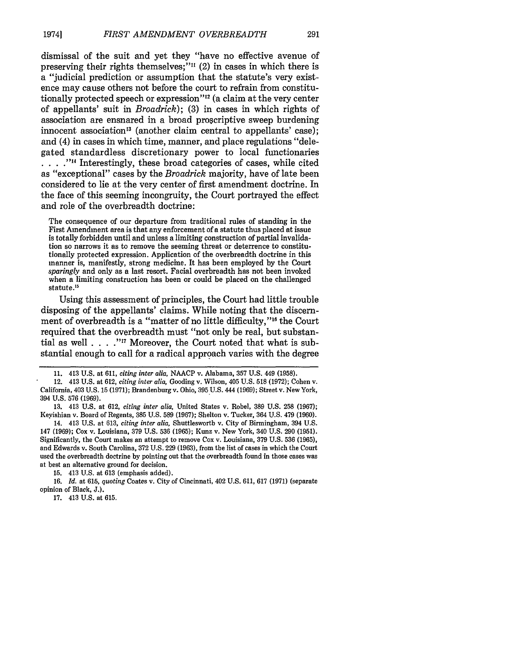dismissal of the suit and yet they "have no effective avenue of preserving their rights themselves;"<sup>11</sup> $(2)$  in cases in which there is a "judicial prediction or assumption that the statute's very existence may cause others not before the court to refrain from constitutionally protected speech or expression"<sup>12</sup> (a claim at the very center of appellants' suit in *Broadrick);* (3) in cases in which rights of association are ensnared in a broad proscriptive sweep burdening innocent association<sup>13</sup> (another claim central to appellants' case); and (4) in cases in which time, manner, and place regulations "delegated standardless discretionary power to local functionaries **... -"** Interestingly, these broad categories of cases, while cited as "exceptional" cases by the *Broadrick* majority, have of late been considered to lie at the very center of first amendment doctrine. In the face of this seeming incongruity, the Court portrayed the effect and role of the overbreadth doctrine:

The consequence of our departure from traditional rules of standing in the First Amendment area is that any enforcement of a statute thus placed at issue is totally forbidden until and unless a limiting construction of partial invalidation so narrows it as to remove the seeming threat or deterrence to constitutionally protected expression. Application of the overbreadth doctrine in this manner is, manifestly, strong medicine. It has been employed by the Court *sparingly* and only as a last resort. Facial overbreadth has not been invoked when a limiting construction has been or could be placed on the challenged statute.<sup>15</sup>

Using this assessment of principles, the Court had little trouble disposing of the appellants' claims. While noting that the discernment of overbreadth is a "matter of no little difficulty,"<sup>16</sup> the Court required that the overbreadth must "not only be real, but substantial as well **.... -,7** Moreover, the Court noted that what is substantial enough to call for a radical approach varies with the degree

13. 413 U.S. at 612, *citing inter* alia, United States v. Robel, 389 U.S. 258 (1967); Keyishian v. Board of Regents, 385 U.S. 589 (1967); Shelton v. Tucker, 364 U.S. 479 (1960).

14. 413 U.S. at 613, *citing inter alia,* Shuttlesworth v. City of Birmingham, 394 U.S. 147 (1969); Cox v. Louisiana, 379 U.S. 536 (1965); Kunz v. New York, 340 U.S. 290 (1951). Significantly, the Court makes an attempt to remove Cox v. Louisiana, 379 U.S. 536 (1965), and Edwards v. South Carolina, 372 U.S. 229 (1963), from the list of cases in which the Court used the overbreadth doctrine by pointing out that the overbreadth found in those cases was at best an alternative ground for decision.

15. 413 U.S. at 613 (emphasis added).

16. *Id.* at 615, *quoting* Coates v. City of Cincinnati, 402 U.S. 611, 617 (1971) (separate opinion of Black, J.).

17. 413 U.S. at 615.

<sup>11. 413</sup> U.S. at 611, *citing inter alia,* NAACP v. Alabama, 357 U.S. 449 (1958).

<sup>12. 413</sup> U.S. at 612, *citing inter alia,* Gooding v. Wilson, 405 U.S. 518 (1972); Cohen v. California, 403 U.S. 15 (1971); Brandenburg v. Ohio, 395 U.S. 444 (1969); Street v. New York, 394 U.S. 576 (1969).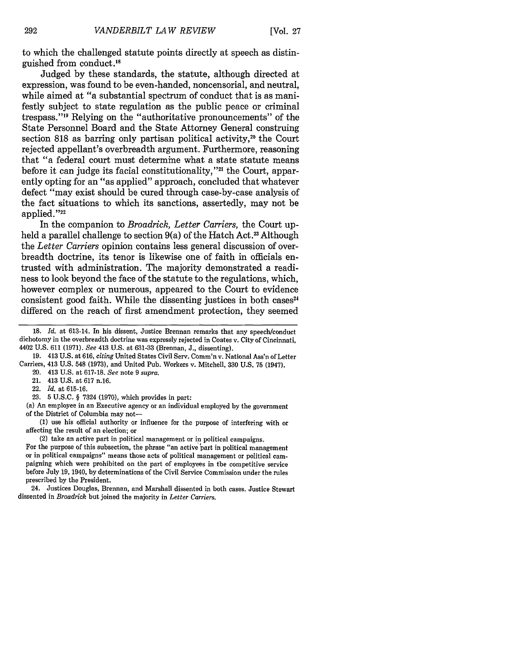to which the challenged statute points directly at speech as distinguished from conduct.<sup>18</sup>

Judged by these standards, the statute, although directed at expression, was found to be even-handed, noncensorial, and neutral, while aimed at "a substantial spectrum of conduct that is as manifestly subject to state regulation as the public peace or criminal trespass."<sup>19</sup> Relying on the "authoritative pronouncements" of the State Personnel Board and the State Attorney General construing section 818 as barring only partisan political activity,<sup>20</sup> the Court rejected appellant's overbreadth argument. Furthermore, reasoning that "a federal court must determine what a state statute means before it can judge its facial constitutionality,"<sup>21</sup> the Court, apparently opting for an "as applied" approach, concluded that whatever defect "may exist should be cured through case-by-case analysis of the fact situations to which its sanctions, assertedly, may not be applied."<sup>22</sup>

In the companion to *Broadrick, Letter Carriers,* the Court upheld a parallel challenge to section 9(a) of the Hatch Act.<sup>23</sup> Although the *Letter Carriers* opinion contains less general discussion of overbreadth doctrine, its tenor is likewise one of faith in officials entrusted with administration. The majority demonstrated a readiness to look beyond the face of the statute to the regulations, which, however complex or numerous, appeared to the Court to evidence consistent good faith. While the dissenting justices in both cases $24$ differed on the reach of first amendment protection, they seemed

19. 413 U.S. at 616, *citing* United States Civil Serv. Comm'n v. National Ass'n of Letter Carriers, 413 U.S. 548 (1973), and United Pub. Workers v. Mitchell, 330 U.S. 75 (1947).

21. 413 U.S. at 617 n.16.

22. *Id.* at 615-16.

23. 5 U.S.C. § 7324 (1970), which provides in part:

(a) An employee in an Executive agency or an individual employed by the government of the District of Columbia may not-

**(1)** use his official authority or influence for the purpose of interfering with or affecting the result of an election; or

(2) take an active part in political management or in political campaigns.

For the purpose of this subsection, the phrase "an active part in political management or in political campaigns" means those acts of political management or political campaigning which were prohibited on the part of employees in the competitive service before July **19,** 1940, **by** determinations of the Civil Service Commission under the rules prescribed **by** the President.

24. Justices Douglas, Brennan, and Marshall dissented in both cases. Justice Stewart dissented in *Broadrick* but joined the majority in *Letter Carriers.*

**<sup>18.</sup>** *Id.* at 613-14. In his dissent, Justice Brennan remarks that any speech/conduct dichotomy in the overbreadth doctrine was expressly rejected in Coates v. City of Cincinnati, 4402 U.S. 611 (1971). *See* 413 U.S. at 631-33 (Brennan, J., dissenting).

<sup>20. 413</sup> U.S. at 617-18. *See* note 9 *supra.*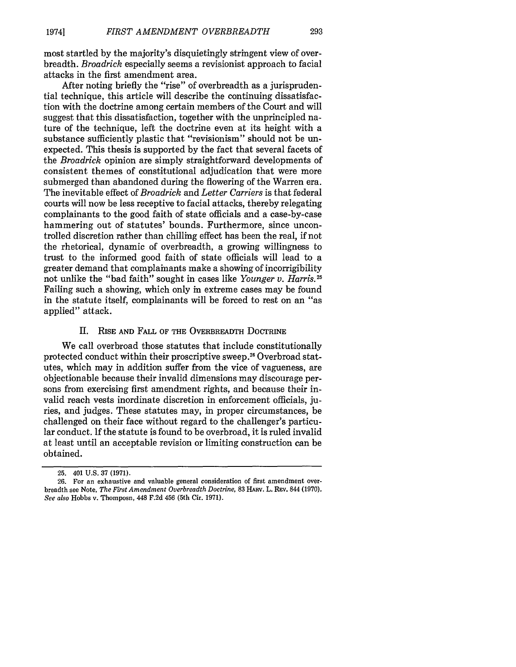most startled by the majority's disquietingly stringent view of overbreadth. *Broadrick* especially seems a revisionist approach to facial attacks in the first amendment area.

After noting briefly the "rise" of overbreadth as a jurisprudential technique, this article will describe the continuing dissatisfaction with the doctrine among certain members of the Court and will suggest that this dissatisfaction, together with the unprincipled nature of the technique, left the doctrine even at its height with a substance sufficiently plastic that "revisionism" should not be unexpected. This thesis is supported by the fact that several facets of the *Broadrick* opinion are simply straightforward developments of consistent themes of constitutional adjudication that were more submerged than abandoned during the flowering of the Warren era. The inevitable effect of *Broadrick* and *Letter Carriers* is that federal courts will now be less receptive to facial attacks, thereby relegating complainants to the good faith of state officials and a case-by-case hammering out of statutes' bounds. Furthermore, since uncontrolled discretion rather than chilling effect has been the real, if not the rhetorical, dynamic of overbreadth, a growing willingness to trust to the informed good faith of state officials will lead to a greater demand that complainants make a showing of incorrigibility not unlike the "bad faith" sought in cases like *Younger v. Harris.25* Failing such a showing, which only in extreme cases may be found in the statute itself, complainants will be forced to rest on an "as applied" attack.

#### II. RISE AND FALL OF THE OVERBREADTH DOCTRINE

We call overbroad those statutes that include constitutionally protected conduct within their proscriptive sweep.<sup>26</sup> Overbroad statutes, which may in addition suffer from the vice of vagueness, are objectionable because their invalid dimensions may discourage persons from exercising first amendment rights, and because their invalid reach vests inordinate discretion in enforcement officials, juries, and judges. These statutes may, in proper circumstances, be challenged on their face without regard to the challenger's particular conduct. If the statute is found to be overbroad, it is ruled invalid at least until an acceptable revision or limiting construction can be obtained.

<sup>25. 401</sup> U.S. 37 (1971).

<sup>26.</sup> For an exhaustive and valuable general consideration of first amendment overbreadth see Note, *The First Amendment Overbreadth Doctrine,* 83 HARV. L. REv. 844 (1970). *See also* Hobbs v. Thomposn, 448 F.2d 456 (5th Cir. 1971).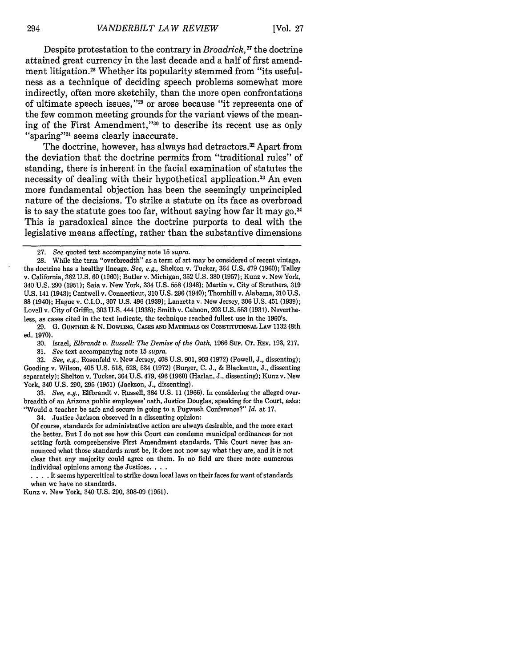Despite protestation to the contrary in *Broadrick*,<sup>27</sup> the doctrine attained great currency in the last decade and a half of first amendment litigation.<sup>28</sup> Whether its popularity stemmed from "its usefulness as a technique of deciding speech problems somewhat more indirectly, often more sketchily, than the more open confrontations of ultimate speech issues,"<sup>29</sup> or arose because "it represents one of the few common meeting grounds for the variant views of the meaning of the First Amendment,"<sup>30</sup> to describe its recent use as only "sparing"<sup>31</sup> seems clearly inaccurate.

The doctrine, however, has always had detractors.<sup>32</sup> Apart from the deviation that the doctrine permits from "traditional rules" of standing, there is inherent in the facial examination of statutes the necessity of dealing with their hypothetical application.<sup>33</sup> An even more fundamental objection has been the seemingly unprincipled nature of the decisions. To strike a statute on its face as overbroad is to say the statute goes too far, without saying how far it may **go.<sup>34</sup>** This is paradoxical since the doctrine purports to deal with the legislative means affecting, rather than the substantive dimensions

28. While the term "overbreadth" as a term of art may be considered of recent vintage, the doctrine has a healthy lineage. *See, e.g.,* Shelton v. Tucker, 364 U.S. 479 (1960); Talley v. California, 362 U.S. 60 (1960); Butler v. Michigan, 352 U.S. 380 (1957); Kunz v. New York, 340 U.S. 290 (1951); Saia v. New York, 334 U.S. 558 (1948); Martin v. City of Struthers, 319 U.S. 141 (1943); Cantwell v. Connecticut, 310 U.S. 296 (1940); Thornhill v. Alabama, 310 U.S. 88 (1940); Hague v. C.I.O., 307 U.S. 496 (1939); Lanzetta v. New Jersey, 306 U.S. 451 (1939); Lovell v. City of Griffin, 303 U.S. 444 (1938); Smith v. Cahoon, 203 U.S. 553 (1931). Nevertheless, as cases cited in the text indicate, the technique reached fullest use in the 1960's.

29. **G. GUNTHER** & **N.** DOWLING, CASES **AND MATERIALS ON** CONSTITUTIONAL **LAW** 1132 (8th ed. 1970).

**30.** Israel, *Elbrandt v. Russell: The Demise of the Oath,* 1966 Sup. CT. REV. 193, 217.

**31.** *See* text accompanying note **15** *supra.*

**32.** *See, e.g.,* Rosenfeld v. New Jersey, 408 U.S. 901, 903 (1972) (Powell, J., dissenting); Gooding v. Wilson, 405 U.S. 518, **528,** 534 **(1972)** (Burger, C. J., & Blackmun, **J.,** dissenting separately); Shelton v. Tucker, 364 U.S. 479, 496 (1960) (Harlan, J., dissenting); Kunz v. New York, 340 U.S. 290, **295 (1951)** (Jackson, J., dissenting).

**33.** *See, e.g.,* Elfbrandt v. Russell, 384 U.S. 11 (1966). In considering the alleged overbreadth of an Arizona public employees' oath, Justice Douglas, speaking for the Court, asks: "Would a teacher be safe and secure in going to a Pugwash Conference?" *Id.* **at** 17.

34. Justice Jackson observed in a dissenting opinion:

**Of** course, standards for administrative action are always desirable, and the more exact the better. But I do not see how this Court can condemn municipal ordinances for not setting forth comprehensive First Amendment standards. This Court never has announced what those standards must be, it does not now say what they are, and it is not **clear** that any majority could agree on them. In no field are there more numerous individual opinions among the Justices. **...**

**....** It seems hypercritical to strike down local laws on their faces for want of standards when we have no standards.

Kunz v. New York, 340 U.S. 290, 308-09 (1951).

**<sup>27.</sup>** *See* quoted text accompanying note 15 *supra.*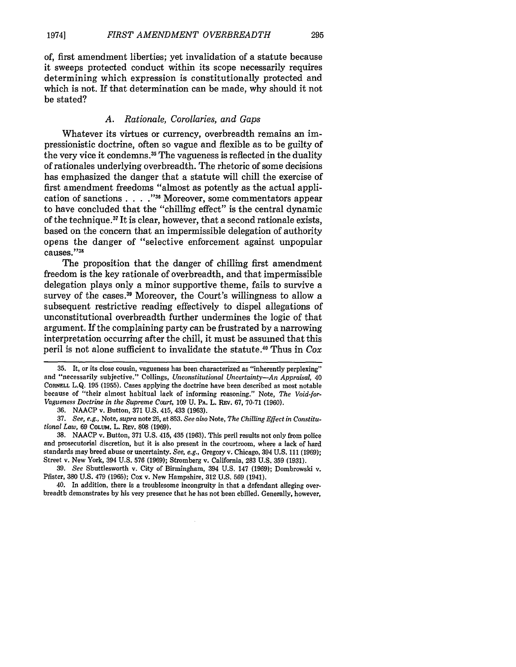of, first amendment liberties; yet invalidation of a statute because it sweeps protected conduct within its scope necessarily requires determining which expression is constitutionally protected and which is not. If that determination can be made, why should it not be stated?

295

### *A. Rationale, Corollaries, and Gaps*

Whatever its virtues or currency, overbreadth remains an impressionistic doctrine, often so vague and flexible as to be guilty of the very vice it condemns.<sup>35</sup> The vagueness is reflected in the duality of rationales underlying overbreadth. The rhetoric of some decisions has emphasized the danger that a statute will chill the exercise of first amendment freedoms "almost as potently as the actual application of sanctions . **. . ."I** Moreover, some commentators appear to have concluded that the "chilling effect" is the central dynamic of the technique.<sup>37</sup> It is clear, however, that a second rationale exists, based on the concern that an impermissible delegation of authority opens the danger of "selective enforcement against unpopular causes."38

The proposition that the danger of chilling first amendment freedom is the key rationale of overbreadth, and that impermissible delegation plays only a minor supportive theme, fails to survive a survey of the cases **.3** Moreover, the Court's willingness to allow a subsequent restrictive reading effectively to dispel allegations of unconstitutional overbreadth further undermines the logic of that argument. If the complaining party can be frustrated by a narrowing interpretation occurring after the chill, it must be assumed that this peril is not alone sufficient to invalidate the statute." Thus in Cox

38. NAACP v. Button, 371 U.S. 415, 435 (1963). This peril results not only from police and prosecutorial discretion, but it is also present in the courtroom, where a lack of hard standards may breed abuse or uncertainty. *See, e.g.,* Gregory v. Chicago, 394 U.S. 111 (1969); Street v. New York, 394 U.S. 576 (1969); Stromberg v. California, 283 U.S. 359 (1931).

39. *See* Shuttlesworth v. City of Birmingham, 394 U.S. 147 (1969); Dombrowski v. Pfister, 380 U.S. 479 (1965); Cox v. New Hampshire, 312 U.S. 569 (1941).

40. In addition, there is a troublesome incongruity in that a defendant alleging overbreadth demonstrates by his very presence that he has not been chilled. Generally, however,

<sup>35.</sup> It, or its close cousin, vagueness has been characterized as "inherently perplexing" and "necessarily subjective." Collings, *Unconstitutional Uncertainty-An Appraisal,* 40 **CORNELL** L.Q. 195 (1955). Cases applying the doctrine have been described as most notable because of "their almost habitual lack of informing reasoning." Note, *The Void-for-Vagueness Doctrine in the Supreme Court,* 109 U. **PA.** L. REv. 67, 70-71 (1960).

<sup>36.</sup> NAACP v. Button, 371 U.S. 415, 433 (1963).

<sup>37.</sup> *See, e.g.,* Note, *supra* note 26, at 853. *See also* Note, *The Chilling Effect in Constitutional Law,* 69 **COLUM.** L. REv. **808** (1969).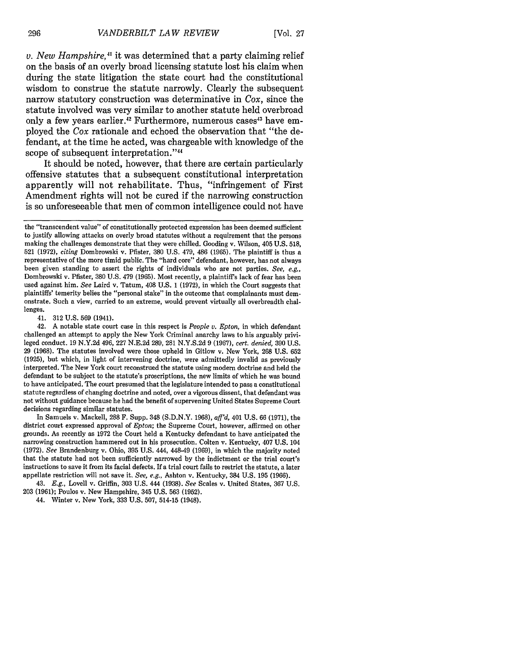*v. New Hampshire,4'* it was determined that a party claiming relief on the basis of an overly broad licensing statute lost his claim when during the state litigation the state court had the constitutional wisdom to construe the statute narrowly. Clearly the subsequent narrow statutory construction was determinative in *Cox,* since the statute involved was very similar to another statute held overbroad only a few years earlier.<sup>42</sup> Furthermore, numerous cases<sup>43</sup> have employed the *Cox* rationale and echoed the observation that "the defendant, at the time he acted, was chargeable with knowledge of the scope of subsequent interpretation."44

It should be noted, however, that there are certain particularly offensive statutes that a subsequent constitutional interpretation apparently will not rehabilitate. Thus, "infringement of First Amendment rights will not be cured if the narrowing construction is so unforeseeable that men of common intelligence could not have

41. 312 U.S. 569 (1941).

In Samuels v. Mackell, 288 F. Supp. 348 (S.D.N.Y. 1968), *aff'd,* 401 U.S. 66 (1971), the district court expressed approval of *Epton;* the Supreme Court, however, affirmed on other grounds. As recently as 1972 the Court held a Kentucky defendant to have anticipated the narrowing construction hammered out in his prosecution. Colten v. Kentucky, 407 U.S. 104 (1972). *See* Brandenburg v. Ohio, 395 U.S. 444, 448-49 (1969), in which the majority noted that the statute had not been sufficiently narrowed by the indictment or the trial court's instructions to save it from its facial defects. If a trial court fails to restrict the statute, a later appellate restriction will not save it. *See, e.g.,* Ashton v. Kentucky, 384 U.S. 195 (1966).

43. *E.g.,* Lovell v. Griffin, 303 U.S. 444 (1938). *See* Scales v. United States, 367 U.S. 203 (1961); Poulos v. New Hampshire, 345 U.S. 563 (1952).

44. Winter v. New York, 333 U.S. 507, 514-15 (1948).

296

the "transcendent value" of constitutionally protected expression has been deemed sufficient to justify allowing attacks on overly broad statutes without a requirement that the persons making the challenges demonstrate that they were chilled. Gooding v. Wilson, 405 U.S. 518, 521 (1972), *citing* Dombrowski v. Pfister, **380** U.S. 479, 486 (1965). The plaintiff is thus a representative of the more timid public. The "hard core" defendant, however, has not always been given standing to assert the rights of individuals who are not parties. *See, e.g.,* Dombrowski v. Pfister, 380 U.S. 479 (1965). Most recently, a plaintiff's lack of fear has been used against him. *See* Laird v. Tatum, 408 U.S. 1 (1972), in which the Court suggests that plaintiffs' temerity belies the "personal stake" in the outcome that complainants must demonstrate. Such a view, carried to an extreme, would prevent virtually all overbreadth challenges.

<sup>42.</sup> A notable state court case in this respect is *People v. Epton,* in which defendant challenged an attempt to apply the New York Criminal anarchy laws to his arguably privileged conduct. 19 N.Y.2d 496, 227 N.E.2d 289, 281 N.Y.S.2d 9 (1967), *cert. denied,* 390 U.S. 29 (1968). The statutes involved were those upheld in Gitlow v. New York, 268 U.S. 652 (1925), but which, in light of intervening doctrine, were admittedly invalid as previously interpreted. The New York court reconstrued the statute using modem doctrine and held the defendant to be subject to the statute's proscriptions, the new limits of which he was bound to have anticipated. The court presumed that the legislature intended to pass a constitutional statute regardless of changing doctrine and noted, over a vigorous dissent, that defendant was not without guidance because he had the benefit of supervening United States Supreme Court decisions regarding similar statutes.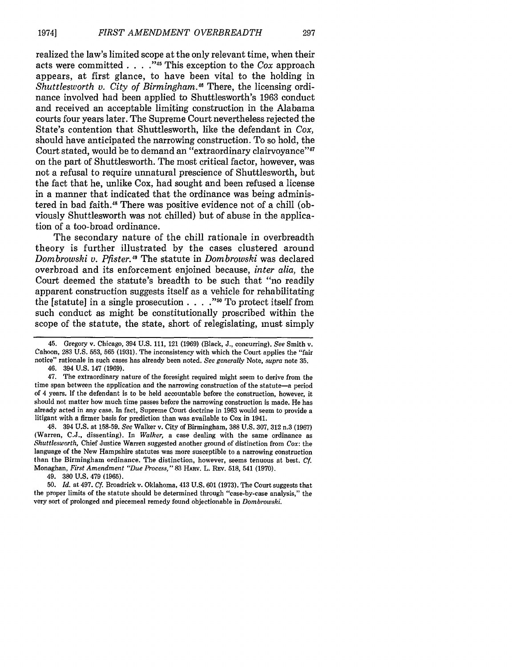realized the law's limited scope at the only relevant time, when their acts were committed **. . . . ,,15** This exception to the *Cox* approach appears, at first glance, to have been vital to the holding in *Shuttlesworth v. City of Birmingham.*<sup>46</sup> There, the licensing ordinance involved had been applied to Shuttlesworth's **1963** conduct and received an acceptable limiting construction in the Alabama courts four years later. The Supreme Court nevertheless rejected the State's contention that Shuttlesworth, like the defendant in *Cox,* should have anticipated the narrowing construction. To so hold, the Court stated, would be to demand an "extraordinary clairvoyance"<sup>47</sup> on the part of Shuttlesworth. The most critical factor, however, was not a refusal to require unnatural prescience of Shuttlesworth, but the fact that he, unlike Cox, had sought and been refused a license in a manner that indicated that the ordinance was being administered in bad faith.<sup>48</sup> There was positive evidence not of a chill (obviously Shuttlesworth was not chilled) but of abuse in the application of a too-broad ordinance.

The secondary nature of the chill rationale in overbreadth theory is further illustrated **by** the cases clustered around *Dombrowski v. Pfister."* The statute in *Dombrowski* was declared overbroad and its enforcement enjoined because, *inter alia,* the Court deemed the statute's breadth to be such that "no readily apparent construction suggests itself as a vehicle for rehabilitating the [statute] in a single prosecution **. . . . "0** To protect itself from such conduct as might be constitutionally proscribed within the scope of the statute, the state, short of relegislating, must simply

46. 394 **U.S.** 147 **(1969).**

47. The extraordinary nature of the foresight required might seem to derive from the time span between the application and the narrowing construction of the statute-a period of 4 years. **If** the defendant is to be held accountable before the construction, however, it should not matter how much time passes before the narrowing construction is made. He has already acted in any case. In fact, Supreme Court doctrine in **1963** would seem to provide a litigant with a firmer basis for prediction than was available to Cox in 1941.

48. 394 **U.S.** at **158-59.** *See* Walker v. City of Birmingham, **388 U.S. 307, 312** n.3 **(1967)** (Warren, **C.J.,** dissenting). In *Walker,* a case dealing with the same ordinance as *Shuttlesworth,* Chief Justice Warren suggested another ground of distinction from *Cox:* the language of the New Hampshire statutes was more susceptible to a narrowing construction than the Birmingham ordinance. The distinction, however, seems tenuous at best. *Cf.* Monaghan, *First Amendment "Due Process,* **" 83 HARv.** L. **Rv. 518,** 541 **(1970).**

49. **380 U.S.** 479 **(1965).**

**50.** *Id.* at 497. *Cf.* Broadrick v. Oklahoma, 413 **U.S. 601 (1973).** The Court suggests that the proper limits of the statute should be determined through "case-by-case analysis," the very sort of prolonged and piecemeal remedy found objectionable in *Dombrowski.*

<sup>45.</sup> Gregory v. Chicago, 394 **U.S. 111,** 121 **(1969)** (Black, **J.,** concurring). *See* Smith v. Cahoon, **283 U.S. 553, 565 (1931).** The inconsistency with which the Court applies the "fair notice" rationale in such cases has already been noted. *See generally* Note, *supra* note **35.**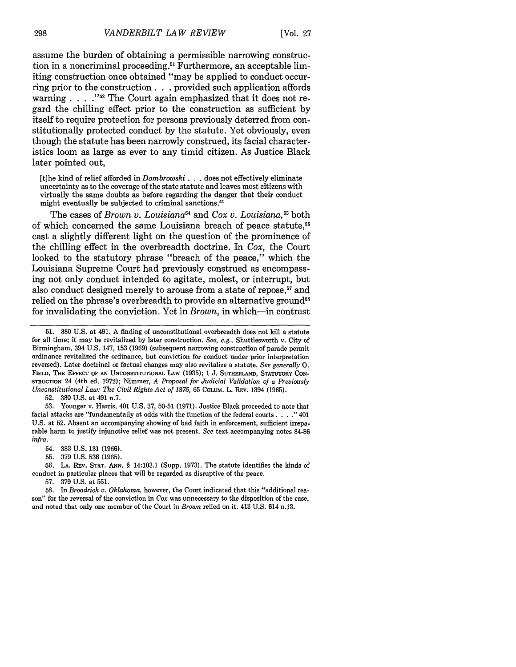assume the burden of obtaining a permissible narrowing construction in a noncriminal proceeding.<sup>51</sup> Furthermore, an acceptable limiting construction once obtained "may be applied to conduct occurring prior to the construction. **. .** provided such application affords warning . . . .<sup>752</sup> The Court again emphasized that it does not regard the chilling effect prior to the construction as sufficient by itself to require protection for persons previously deterred from constitutionally protected conduct by the statute. Yet obviously, even though the statute has been narrowly construed, its facial characteristics loom as large as ever to any timid citizen. As Justice Black later pointed out,

[t]he kind of relief afforded in *Dombrowski* **...** does not effectively eliminate uncertainty as to the coverage of the state statute and leaves most citizens with virtually the same doubts as before regarding the danger that their conduct might eventually be subjected to criminal sanctions.<sup>53</sup>

The cases of *Brown v. Louisiana*<sup>54</sup> and *Cox v. Louisiana*,<sup>55</sup> both of which concerned the same Louisiana breach of peace statute,<sup>56</sup> cast a slightly different light on the question of the prominence of the chilling effect in the overbreadth doctrine. In *Cox,* the Court looked to the statutory phrase "breach of the peace," which the Louisiana Supreme Court had previously construed as encompassing not only conduct intended to agitate, molest, or interrupt, but also conduct designed merely to arouse from a state of repose,<sup>57</sup> and relied on the phrase's overbreadth to provide an alternative ground<sup>58</sup> for invalidating the conviction. Yet in *Brown,* in which-in contrast

**52.** 380 U.S. at 491 n.7.

**53.** Younger v. Harris, 401 U.S. **37, 50-51** (1971). Justice Black proceeded to note that facial attacks are "fundamentally at odds with the function **of** the federal courts. . **. ."** 401 U.S. **at 52.** Absent an accompanying showing of bad faith in enforcement, sufficient irreparable harm to justify injunctive relief was not present. *See* text accompanying notes 84-86 *infra.*

- 54. 383 U.S. 131 (1966).
- 55. 379 U.S. 536 (1965).

56. **LA.** REv. **STAT. ANN.** § 14:103.1 (Supp. 1973). The statute identifies the kinds of conduct in particular places that will be regarded as disruptive of the peace.

57. 379 U.S. at 551.

<sup>51. 380</sup> U.S. at 491. A finding of unconstitutional overbreadth does not kill a statute for all time; it may be revitalized by later construction. *See, e.g.,* Shuttlesworth v. City of Birmingham, 394 U.S. 147, 153 (1969) (subsequent narrowing construction of parade permit ordinance revitalized the ordinance, but conviction for conduct under prior interpretation reversed). Later doctrinal or factual changes may also revitalize a statute. *See generally 0.* **FIELD,** THE EFFECT OF **AN** UNCONSTUTIONAL LAw (1935); 1 J. **SUTHERLAND,** STATUTORY **CON-**STRUTION 24 (4th ed. 1972); Nimmer, *A Proposal for Judicial Validation of a Previously Unconstitutional Law: The Civil Rights Act of 1875,* **65** COLUM. L. REv. 1394 (1965).

<sup>58.</sup> In *Broadrick v. Oklahoma,* however, the Court indicated that this "additional reason" for the reversal of the conviction in *Cox* was unnecessary to the disposition of the case, and noted that only one member of the Court in *Brown* relied on it. 413 U.S. 614 n.13.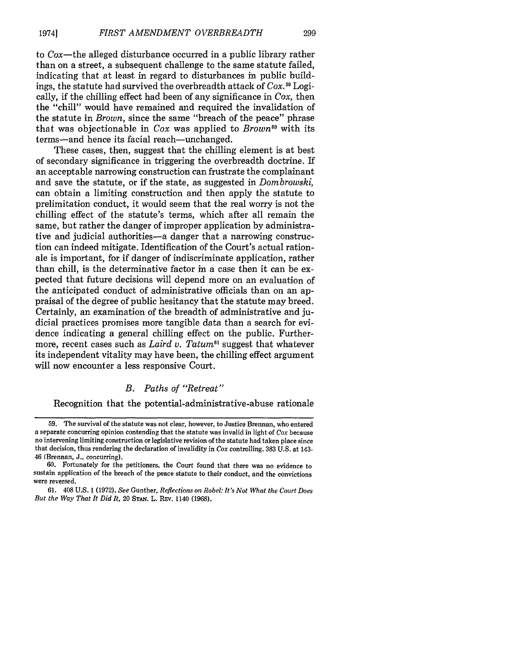to  $\cos$ —the alleged disturbance occurred in a public library rather than on a street, a subsequent challenge to the same statute failed, indicating that at least in regard to disturbances in public buildings, the statute had survived the overbreadth attack of *Cox.59* Logically, if the chilling effect had been of any significance in *Cox,* then the "chill" would have remained and required the invalidation of the statute in *Brown,* since the same "breach of the peace" phrase that was objectionable in *Cox* was applied to *Brown* with its terms-and hence its facial reach-unchanged.

These cases, then, suggest that the chilling element is at best of secondary significance in triggering the overbreadth doctrine. If an acceptable narrowing construction can frustrate the complainant and save the statute, or if the state, as suggested in *Dombrowski,* can obtain a limiting construction and then apply the statute to prelimitation conduct, it would seem that the real worry is not the chilling effect of the statute's terms, which after all remain the same, but rather the danger of improper application by administrative and judicial authorities-a danger that a narrowing construction can indeed mitigate. Identification of the Court's actual rationale is important, for if danger of indiscriminate application, rather than chill, is the determinative factor in a case then it can be expected that future decisions will depend more on an evaluation of the anticipated conduct of administrative officials than on an appraisal of the degree of public hesitancy that the statute may breed. Certainly, an examination of the breadth of administrative and judicial practices promises more tangible data than a search for evidence indicating a general chilling effect on the public. Furthermore, recent cases such as *Laird v. Tatum*<sup>61</sup> suggest that whatever its independent vitality may have been, the chilling effect argument will now encounter a less responsive Court.

#### *B. Paths of "Retreat"*

Recognition that the potential-administrative-abuse rationale

<sup>59.</sup> The survival of the statute was not clear, however, to Justice Brennan, who entered a separate concurring opinion contending that the statute was invalid in light of *Cox* because no intervening limiting construction or legislative revision of the statute had taken place since that decision, thus rendering the declaration of invalidity in *Cox* controlling. **383 U.S.** at 143- 46 (Brennan, **J.,** concurring).

**<sup>60.</sup>** Fortunately for the petitioners, the Court found that there was no evidence to sustain application of the breach of the peace statute to their conduct, and the convictions were reversed.

**<sup>61.</sup>** 408 **U.S. 1 (1972).** *See* Gunther, *Reflections on Robel: It's Not What the Court Does But the Way That It Did It,* 20 **STAN.** L. REv. 1140 **(1968).**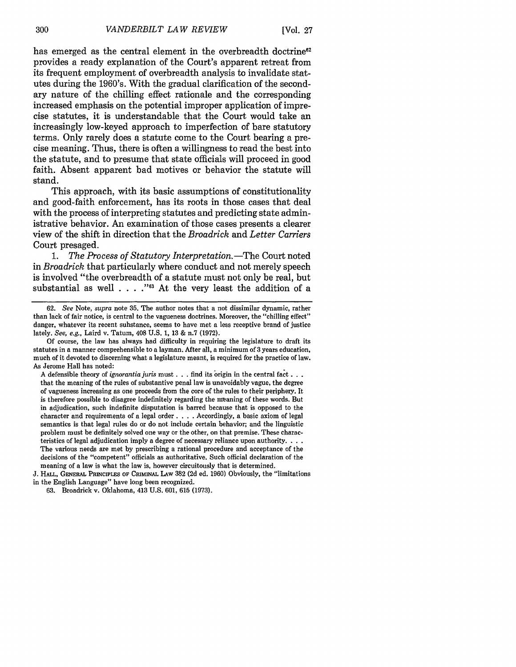has emerged as the central element in the overbreadth doctrine<sup>62</sup> provides a ready explanation of the Court's apparent retreat from its frequent employment of overbreadth analysis to invalidate statutes during the 1960's. With the gradual clarification of the secondary nature of the chilling effect rationale and the corresponding increased emphasis on the potential improper application of imprecise statutes, it is understandable that the Court would take an increasingly low-keyed approach to imperfection of bare statutory terms. Only rarely does a statute come to the Court bearing a precise meaning. Thus, there is often a willingness to read the best into the statute, and to presume that state officials will proceed in good faith. Absent apparent bad motives or behavior the statute will stand.

This approach, with its basic assumptions of constitutionality and good-faith enforcement, has its roots in those cases that deal with the process of interpreting statutes and predicting state administrative behavior. An examination of those cases presents a clearer view of the shift in direction that the *Broadrick* and *Letter Carriers* Court presaged.

*1. The Process of Statutory Interpretation. -The* Court noted in *Broadrick* that particularly where conduct and not merely speech is involved "the overbreadth of a statute must not only be real, but substantial as well . . . . "<sup>63</sup> At the very least the addition of a

A defensible theory of *ignorantia juris* must. **. .** find its origin in the central fact... that the meaning of the rules of substantive penal law is unavoidably vague, the degree of vagueness increasing as one proceeds from the core of the rules to their periphery. It is therefore possible to disagree indefinitely regarding the meaning of these words. But in adjudication, such indefinite disputation is barred because that is opposed to the character and requirements of a legal order . **. .** . Accordingly, a basic axiom of legal semantics is that legal rules do or do not include certain behavior; and the linguistic problem must be definitely solved one way or the other, on that premise. These characteristics of legal adjudication imply a degree of necessary reliance upon authority. . **..** The various needs are met by prescribing a rational procedure and acceptance of the decisions of the "competent" officials as authoritative. Such official declaration of the meaning of a law is what the law is, however circuitously that is determined.

J. HALL, **GENERAL PRINCIPLES** OF CRIMINAL **LAW** 382 (2d ed. 1960) Obviously, the "limitations in the English Language" have long been recognized.

<sup>62.</sup> *See* Note, *supra* note 35. The author notes that a not dissimilar dynamic, rather than lack of fair notice, is central to the vagueness doctrines. Moreover, the "chilling effect" danger, whatever its recent substance, seems to have met a less receptive brand of justice lately. *See, e.g.,* Laird v. Tatum, 408 U.S. 1, 13 & n.7 (1972).

Of course, the law has always had difficulty in requiring the legislature to draft its statutes in a manner comprehensible to a layman. After all, a minimum of 3 years education, much of it devoted to discerning what a legislature meant, is required for the practice of law. As Jerome Hall has noted:

<sup>63.</sup> Broadrick v. Oklahoma, 413 U.S. 601, 615 (1973).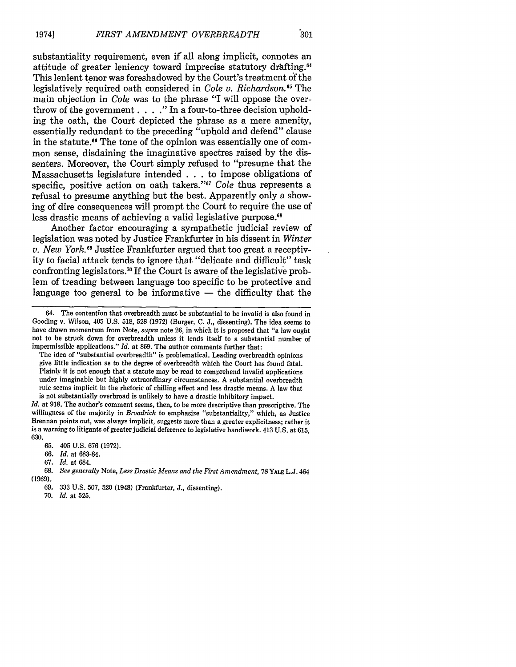substantiality requirement, even if all along implicit, connotes an attitude of greater leniency toward imprecise statutory drafting.<sup>64</sup> This lenient tenor was foreshadowed by the Court's treatment **of** the legislatively required oath considered in *Cole v. Richardson."5* The main objection in *Cole* was to the phrase "I will oppose the overthrow of the government. .**..** " In a four-to-three decision upholding the oath, the Court depicted the phrase as a mere amenity, essentially redundant to the preceding "uphold and defend" clause in the statute.<sup>66</sup> The tone of the opinion was essentially one of common sense, disdaining the imaginative spectres raised by the dissenters. Moreover, the Court simply refused to "presume that the Massachusetts legislature intended . . . to impose obligations of specific, positive action on oath takers."<sup>67</sup> Cole thus represents a refusal to presume anything but the best. Apparently only a showing of dire consequences will prompt the Court to require the use of less drastic means of achieving a valid legislative purpose.<sup>68</sup>

Another factor encouraging a sympathetic judicial review of legislation was noted by Justice Frankfurter in his dissent in *Winter v. New York. <sup>9</sup>*Justice Frankfurter argued that too great a receptivity to facial attack tends to ignore that "delicate and difficult" task confronting legislators.<sup>70</sup> If the Court is aware of the legislative problem of treading between language too specific to be protective and language too general to be informative — the difficulty that the

70. *Id.* at 525.

<sup>64.</sup> The contention that overbreadth must be substantial to be invalid is also found in Gooding v. Wilson, 405 U.S. 518, 528 (1972) (Burger, C. **J.,** dissenting). The idea seems to have drawn momentum from Note, *supra* note 26, in which it is proposed that "a law ought not to be struck down for overbreadth unless it lends itself to a substantial number of impermissible applications." *Id.* at 859. The author comments further that:

The idea of "substantial overbreadth" is problematical. Leading overbreadth opinions give little indication as to the degree of overbreadth which the Court has found fatal. Plainly it is not enough that a statute may be read to comprehend invalid applications under imaginable but highly extraordinary circumstances. A substantial overbreadth rule seems implicit in the rhetoric of chilling effect and less drastic means. A law that is not substantially overbroad is unlikely to have a drastic inhibitory impact.

*Id.* at 918. The author's comment seems, then, to be more descriptive than prescriptive. The willingness of the majority in *Broadrick* to emphasize "substantiality," which, as Justice Brennan points out, was always implicit, suggests more than a greater explicitness; rather it is a warning to litigants of greater judicial deference to legislative handiwork. 413 U.S. at 615, **6:30.**

<sup>65. 405</sup> U.S. 676 (1972).

**<sup>66.</sup>** *Id.* at 683-84.

<sup>67.</sup> *Id.* at 684.

<sup>68.</sup> *See generally* Note, *Less Drastic Means and the First Amendment,* 78 **YALE** L.J. 464 (1969).

<sup>69. 333</sup> U.S. 507, 520 (1948) (Frankfurter, J., dissenting).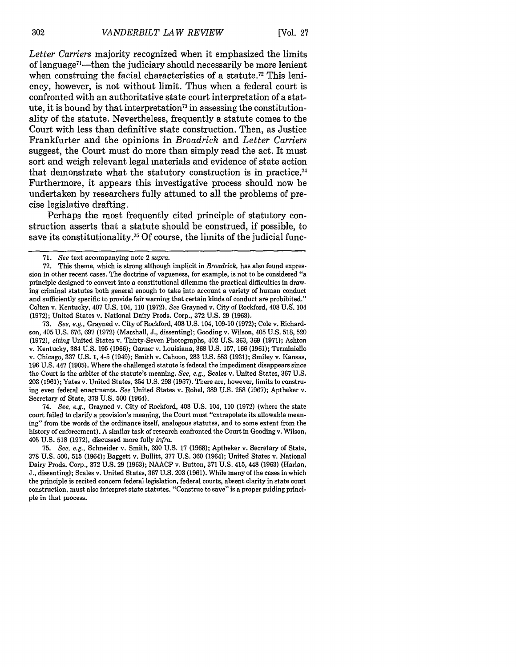*Letter Carriers* majority recognized when it emphasized the limits of language<sup>71</sup>—then the judiciary should necessarily be more lenient when construing the facial characteristics of a statute.<sup>72</sup> This leniency, however, is not without limit. Thus when a federal court is confronted with an authoritative state court interpretation of a statute, it is bound by that interpretation<sup>73</sup> in assessing the constitutionality of the statute. Nevertheless, frequently a statute comes to the Court with less than definitive state construction. Then, as Justice Frankfurter and the opinions in *Broadrick* and *Letter Carriers* suggest, the Court must do more than simply read the act. It must sort and weigh relevant legal materials and evidence of state action that demonstrate what the statutory construction is in practice.74 Furthermore, it appears this investigative process should now be undertaken by researchers fully attuned to all the problems of precise legislative drafting.

Perhaps the most frequently cited principle of statutory construction asserts that a statute should be construed, if possible, to save its constitutionality.<sup>75</sup> Of course, the limits of the judicial func-

73. *See, e.g.,* Grayned v. City of Rockford, 408 U.S. 104, 109-10 (1972); Cole v. Richardson, 405 U.S. 676, 697 (1972) (Marshall, J., dissenting); Gooding v. Wilson, 405 U.S. 518, 520 (1972), *citing* United States v. Thirty-Seven Photographs, 402 U.S. 363, 369 (1971); Ashton v. Kentucky, 384 U.S. 195 (1966); Garner v. Louisiana, 368 U.S. 157, 166 (1961); Terminiello v. Chicago, 337 U.S. 1, 4-5 (1949); Smith v. Cahoon, 283 U.S. 553 (1931); Smiley v. Kansas, 196 U.S. 447 (1905). Where the challenged statute is federal the impediment disappears since the Court is the arbiter of the statute's meaning. *See, e.g.,* Scales v. United States, 367 U.S. 203 (1961); Yates v. United States, 354 U.S. 298 (1957). There are, however, limits to construing even federal enactments. *See* United States v. Robel, 389 U.S. 258 (1967); Aptheker v. Secretary of State, 378 U.S. 500 (1964).

74. *See, e.g.,* Grayned v. City of Rockford, 408 U.S. 104, 110 (1972) (where the state court failed to clarify a provision's meaning, the Court must "extrapolate its allowable meaning" from the words of the ordinance itself, analogous statutes, and to some extent from the history of enforcement). A similar task of research confronted the Court in Gooding v. Wilson, 405 U.S. 518 (1972), discussed more fully *infra.*

75. *See, e.g.,* Schneider v. Smith, 390 U.S. 17 (1968); Aptheker v. Secretary of State, 378 U.S. 500, 515 (1964); Baggett v. Bullitt, 377 U.S. 360 (1964); United States v. National Dairy Prods. Corp., 372 U.S. 29 (1963); NAACP v. Button, 371 U.S. 415, 448 (1963) (Harlan, J., dissenting); Scales v. United States, 367 U.S. 203 (1961). While many of the cases in which the principle is recited concern federal legislation, federal courts, absent clarity in state court construction, must also interpret state statutes. "Construe to save" is a proper guiding principle in that process.

<sup>71.</sup> *See* text accompanying note 2 *supra.*

<sup>72.</sup> This theme, which is strong although implicit in *Broadrick,* has also found expression in other recent cases. The doctrine of vagueness, for example, is not to be considered "a principle designed to convert into a constitutional dilemma the practical difficulties in drawing criminal statutes both general enough to take into account a variety of human conduct and sufficiently specific to provide fair warning that certain kinds of conduct are prohibited." Colten v. Kentucky, 407 U.S. 104, 110 (1972). *See* Grayned v. City of Rockford, 408 U.S. 104 (1972); United States v. National Dairy Prods. Corp., 372 U.S. 29 (1963).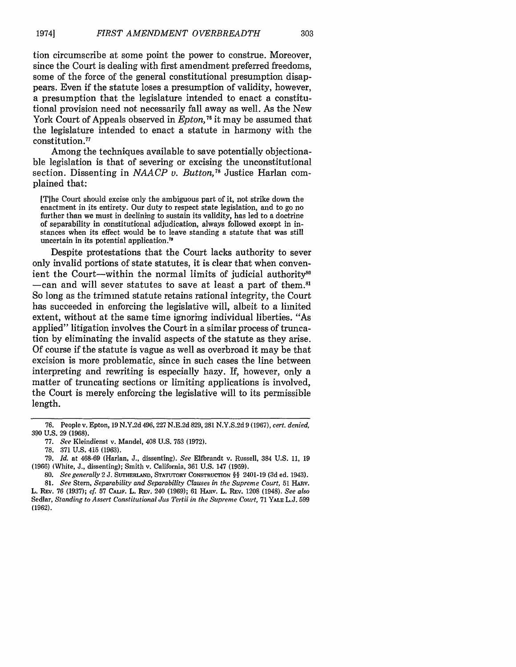303

tion circumscribe at some point the power to construe. Moreover, since the Court is dealing with first amendment preferred freedoms, some of the force of the general constitutional presumption disappears. Even if the statute loses a presumption of validity, however, a presumption that the legislature intended to enact a constitutional provision need not necessarily fall away as well. As the New York Court of Appeals observed in *Epton*,<sup>76</sup> it may be assumed that the legislature intended to enact a statute in harmony with the constitution. <sup>77</sup>

Among the techniques available to save potentially objectionable legislation is that of severing or excising the unconstitutional section. Dissenting in *NAACP v. Button,7 <sup>8</sup>*Justice Harlan complained that:

[T]he Court should excise only the ambiguous part of it, not strike down the enactment in its entirety. Our duty to respect state legislation, and to go no further than we must in declining to sustain its validity, has led to a doctrine of separability in constitutional adjudication, always followed except in instances when its effect would be to leave standing a statute that was still uncertain in its potential application.<sup>7</sup>

Despite protestations that the Court lacks authority to sever only invalid portions of state statutes, it is clear that when convenient the Court--within the normal limits of judicial authority<sup>80</sup> -can and will sever statutes to save at least a part of them.<sup>81</sup> So long as the trimmed statute retains rational integrity, the Court has succeeded in enforcing the legislative will, albeit to a limited extent, without at the same time ignoring individual liberties. "As applied" litigation involves the Court in a similar process of truncation **by** eliminating the invalid aspects of the statute as they arise. **Of** course if the statute is vague as well as overbroad it may be that excision is more problematic, since in such cases the line between interpreting and rewriting is especially hazy. **If,** however, only a matter of truncating sections or limiting applications is involved, the Court is merely enforcing the legislative will to its permissible length.

**79.** *Id.* at 468-69 (Harlan, **J.,** dissenting). *See* Elfbrandt v. Russell, 384 **U.S. 11, 19 (1966)** (White, **J.,** dissenting); Smith **v.** California, **361 U.S.** 147 **(1959).**

**<sup>76.</sup>** People v. Epton, **19 N.Y.2d** 496, **227 N.E.2d 829, 281 N.Y.S.2d** 9 **(1967),** *cert. denied,* **390 U.S.** 29 **(1968).**

**<sup>77.</sup>** *See* **Kleindienst v.** Mandel, 408 **U.S. 753 (1972).**

**<sup>78. 371</sup> U.S.** 415 **(1963).**

**<sup>80.</sup>** *See generally* 2 **J. SUTHERLAND, STATUTORY CONSTRUCTION** §§ 2401-19 **(3d** ed. 1943).

**<sup>81.</sup>** *See* **Stern,** *Separability and Separability Clauses in the Supreme Court,* **51 HARV.** L. **REV. 76 (1937);** *cf.* **57 CALIF.** L. **REv.** 240 **(1969); 61 HARV.** L. REv. **1208** (1948). *See also* Sedlar, *Standing to Assert Constitutional Jus Tertii in the Supreme Court,* **71 YALE L.J. 599 (1962).**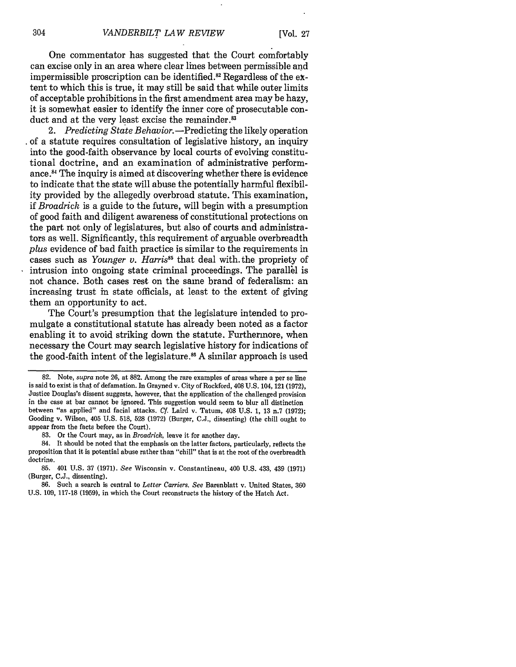One commentator has suggested that the Court comfortably can excise only in an area where clear lines between permissible and impermissible proscription can be identified.<sup>82</sup> Regardless of the  $ex$ tent to which this is true, it may still be said that while outer limits of acceptable prohibitions in the first amendment area may be hazy, it is somewhat easier to identify the inner core of prosecutable conduct and at the very least excise the remainder.<sup>83</sup>

2. Predicting State Behavior.—Predicting the likely operation of a statute requires consultation of legislative history, an inquiry into the good-faith observance by local courts of evolving constitutional doctrine, and an examination of administrative performance **.8** The inquiry is aimed at discovering whether there is evidence to indicate that the state will abuse the potentially harmful flexibility provided by the allegedly overbroad statute. This examination, if *Broadrick* is a guide to the future, will begin with a presumption of good faith and diligent awareness of constitutional protections on the part not only of legislatures, but also of courts and administrators as well. Significantly, this requirement of arguable overbreadth *plus* evidence of bad faith practice is similar to the requirements in cases such as *Younger v. Harris85* that deal with. the propriety of intrusion into ongoing state criminal proceedings. The parallel is not chance. Both cases rest on the same brand of federalism: an increasing trust in state officials, at least to the extent of giving them an opportunity to act.

The Court's presumption that the legislature intended to promulgate a constitutional statute has already been noted as a factor enabling it to avoid striking down the statute. Furthermore, when necessary the Court may search legislative history for indications of the good-faith intent of the legislature.<sup>86</sup> A similar approach is used

<sup>82.</sup> Note, *supra* note 26, at 882. Among the rare examples of areas where a per se line is said to exist is that of defamation. In Grayned v. City of Rockford, 408 U.S. 104, 121 (1972), Justice Douglas's dissent suggests, however, that the application of the challenged provision in the case at bar cannot be ignored. This suggestion would seem to blur all distinction between "as applied" and facial attacks. Cf. Laird v. Tatum, 408 U.S. 1, 13 n.7 (1972); Gooding v. Wilson, 405 U.S. 518, 528 (1972) (Burger, C.J., dissenting) (the chill ought to appear from the facts before the Court).

<sup>83.</sup> Or the Court may, as in *Broadrick,* leave it for another day.

<sup>84.</sup> It should be noted that the emphasis on the latter factors, particularly, reflects the proposition that it is potential abuse rather than "chill" that is at the root of the overbreadth doctrine.

<sup>85. 401</sup> U.S. 37 (1971). *See* Wisconsin v. Constantineau, 400 U.S. 433, 439 (1971) (Burger, C.J., dissenting).

<sup>86.</sup> Such a search is central to *Letter Carriers. See* Barenblatt v. United States, 360 U.S. 109, 117-18 (1959), in which the Court reconstructs the history of the Hatch Act.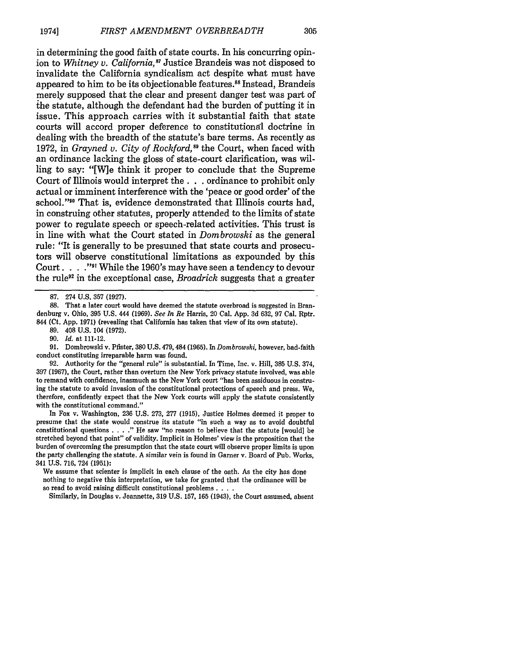in determining the good faith of state courts. In his concurring opinion to *Whitney v. California*,<sup>87</sup> Justice Brandeis was not disposed to invalidate the California syndicalism act despite what must have appeared to him to be its objectionable features.<sup>88</sup> Instead, Brandeis merely supposed that the clear and present danger test was part of the statute, although the defendant had the burden of putting it in issue. This approach carries with it substantial faith that state courts will accord proper deference to constitutional doctrine in dealing with the breadth of the statute's bare terms. As recently as 1972, in *Grayned v. City of Rockford*,<sup>89</sup> the Court, when faced with an ordinance lacking the gloss of state-court clarification, was willing to say: "[W]e think it proper to conclude that the Supreme Court of Illinois would interpret the. **. .** ordinance to prohibit only actual or imminent interference with the 'peace or good order' of the school."<sup>90</sup> That is, evidence demonstrated that Illinois courts had, in construing other statutes, properly attended to the limits of state power to regulate speech or speech-related activities. This trust is in line with what the Court stated in *Dombrowski* as the general rule: "It is generally to be presumed that state courts and prosecutors will observe constitutional limitations as expounded by this Court. . **. .""** While the 1960's may have seen a tendency to devour the rule" in the exceptional case, *Broadrick* suggests that a greater

89. 408 U.S. 104 (1972).

90. *Id.* at 111-12.

91. Dombrowski v. Pfister, 380 U.S. 479,484 (1965). In *Dombrowski,* however, bad-faith conduct constituting irreparable harm was found.

92. Authority for the "general rule" is substantial. In Time, Inc. v. Hill, 385 U.S. 374, 397 (1967), the Court, rather than overturn the New York privacy statute involved, was able to remand with confidence, inasmuch as the New York court "has been assiduous in construing the statute to avoid invasion of the constitutional protections of speech and press. We, therefore, confidently expect that the New York courts will apply the statute consistently with the constitutional command.'

In Fox v. Washington, 236 U.S. 273, 277 (1915), Justice Holmes deemed it proper to presume that the state would construe its statute "in such a way as to avoid doubtful constitutional questions **.... "** He saw "no reason to believe that the statute [would] be stretched beyond that point" of validity. Implicit in Holmes' view is the proposition that the burden of overcoming the presumption that the state court will observe proper limits is upon the party challenging the statute. A similar vein is found in Garner v. Board of Pub. Works, 341 U.S. 716, 724 (1951):

We assume that scienter is implicit in each clause of the oath. As the city has done nothing to negative this interpretation, we take for granted that the ordinance will be so read to avoid raising difficult constitutional problems . **...**

Similarly, in Douglas v. Jeannette, 319 U.S. 157, 165 (1943), the Court assumed, absent

<sup>87. 274</sup> U.S. 357 (1927).

<sup>88.</sup> That a later court would have deemed the statute overbroad is suggested in Brandenburg v. Ohio, 395 U.S. 444 (1969). *See In Re* Harris, 20 Cal. App. 3d 632, 97 Cal. Rptr. 844 (Ct. App. 1971) (revealing that California has taken that view of its own statute).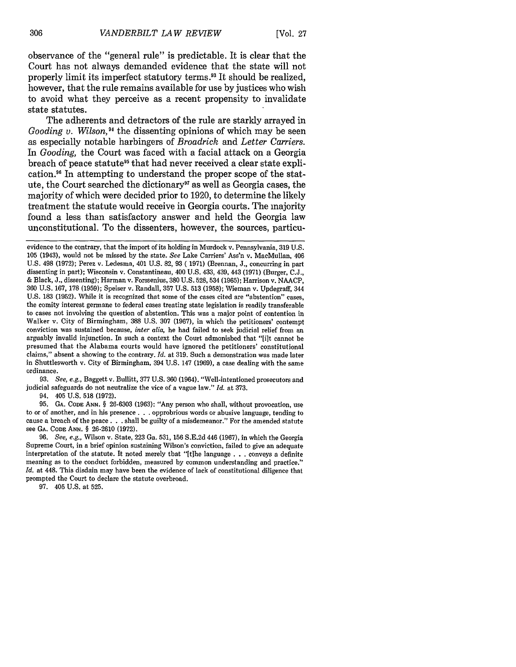observance of the "general rule" is predictable. It is clear that the Court has not always demanded evidence that the state will not properly limit its imperfect statutory terms.<sup>93</sup> It should be realized. however, that the rule remains available for use by justices who wish to avoid what they perceive as a recent propensity to invalidate state statutes.

The adherents and detractors of the rule are starkly arrayed in *Gooding v. Wilson*,<sup>94</sup> the dissenting opinions of which may be seen as especially notable harbingers of *Broadrick* and *Letter Carriers.* In *Gooding,* the Court was faced with a facial attack on a Georgia breach of peace statute<sup>95</sup> that had never received a clear state explication.<sup>96</sup> In attempting to understand the proper scope of the statute, the Court searched the dictionary<sup>97</sup> as well as Georgia cases, the majority of which were decided prior to 1920, to determine the likely treatment the statute would receive in Georgia courts. The majority found a less than satisfactory answer and held the Georgia law unconstitutional. To the dissenters, however, the sources, particu-

**93.** *See, e.g.,* Baggett v. Bullitt, 377 U.S. **360** (1964). "Well-intentioned prosecutors and judicial safeguards do not neutralize the vice of a vague law." *Id.* at 373.

94. 405 U.S. 518 (1972).<br>95. GA. Cope Ann. § 26-6303 (1963): "Any person who shall, without provocation, use to or of another, and in his presence... opprobrious words or abusive language, tending to cause a breach of the peace. **. .** shall be guilty of a misdemeanor." For the amended statute see **GA. CODE ANN.** § 26-2610 (1972).

96. *See, e.g.,* Wilson v. State, 223 Ga. 531, 156 S.E.2d 446 (1967), in which the Georgia Supreme Court, in a brief opinion sustaining Wilson's conviction, failed to give an adequate interpretation of the statute. It noted merely that "[tihe language **. . .** conveys a definite meaning as to the conduct forbidden, measured by common understanding and practice." *Id.* at 448. This disdain may have been the evidence of lack of constitutional diligence that prompted the Court to declare the statute overbroad.

97. 405 U.S. at 525.

evidence to the contrary, that the import of its holding in Murdock v. Pennsylvania, 319 U.S. **105** (1943), would not be missed by the state. *See* Lake Carriers' Ass'n v. MacMullan, 406 U.S. 498 (1972); Perez v. Ledesma, 401 U.S. 82, 93 (1971) (Brennan, J., concurring in part dissenting in part); Wisconsin v. Constantineau, 400 U.S. 433, 439, 443 (1971) (Burger, C.J., & Black, J., dissenting); Harman v. Forssenius, **380** U.S. 528, 534 (1965); Harrison v. NAACP, **360** U.S. 167, 178 (1959); Speiser v. Randall, 357 U.S. **513** (1958); Wieman v. Updegraff, 344 U.S. 183 (1952). While it is recognized that some of the cases cited are "abstention" cases, the comity interest germane to federal cases treating state legislation is readily transferable to cases not involving the question of abstention. This was a major point of contention in Walker v. City of Birmingham, 388 U.S. **307** (1967), in which the petitioners' contempt conviction was sustained because, *inter alia,* he had failed to seek judicial relief from an arguably invalid injunction. In such a context the Court admonished that "[it cannot be presumed that the Alabama courts would have ignored the petitioners' constitutional claims," absent a showing to the contrary. *Id.* at 319. Such a demonstration was made later in Shuttlesworth v. City of Birmingham, 394 U.S. 147 (1969), a case dealing with the same ordinance.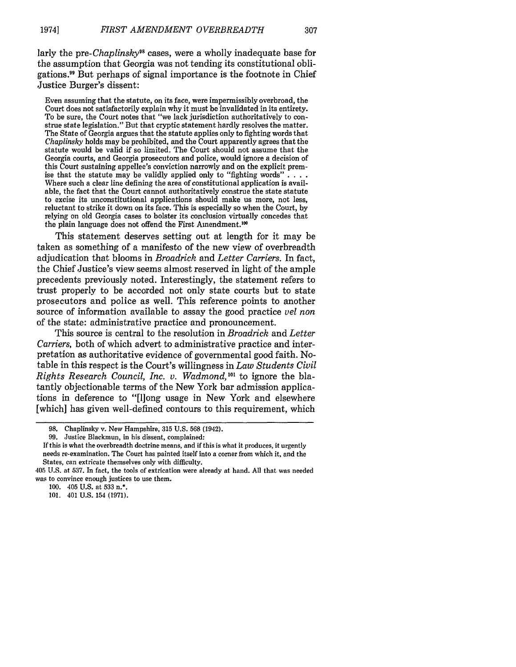307

larly the *pre-Chaplinsky*<sup>98</sup> cases, were a wholly inadequate base for the assumption that Georgia was not tending its constitutional obligations." But perhaps of signal importance is the footnote in Chief Justice Burger's dissent:

Even assuming that the statute, on its face, were impermissibly overbroad, the Court does not satisfactorily explain why it must be invalidated in its entirety. To be sure, the Court notes that "we lack jurisdiction authoritatively to construe state legislation." But that cryptic statement hardly resolves the matter. The State of Georgia argues that the statute applies only to fighting words that *Chaplinsky* holds may be prohibited, and the Court apparently agrees that the statute would be valid if so limited. The Court should not assume that the Georgia courts, and Georgia prosecutors and police, would ignore a decision of this Court sustaining appellee's conviction narrowly and on the explicit prem-<br>ise that the statute may be validly applied only to "fighting words".... Where such a clear line defining the area of constitutional application is available, the fact that the Court cannot authoritatively construe the state statute to excise its unconstitutional applications should make us more, not less, reluctant to strike it down on its face. This is especially so when the Court, by relying on old Georgia cases to bolster its conclusion virtually concedes that the plain language does not offend the First Amendment.<sup>100</sup>

This statement deserves setting out at length for it may be taken as something of a manifesto of the new view of overbreadth adjudication that blooms in *Broadrick* and *Letter Carriers.* In fact, the Chief Justice's view seems almost reserved in light of the ample precedents previously noted. Interestingly, the statement refers to trust properly to be accorded not only state courts but to state prosecutors and police as well. This reference points to another source of information available to assay the good practice *vel non* of the state: administrative practice and pronouncement.

This source is central to the resolution in *Broadrick* and *Letter Carriers,* both of which advert to administrative practice and interpretation as authoritative evidence of governmental good faith. Notable in this respect is the Court's willingness in *Law Students Civil Rights Research Council, Inc. v. Wadmond*,<sup>101</sup> to ignore the blatantly objectionable terms of the New York bar admission applications in deference to "[1]ong usage in New York and elsewhere [which] has given well-defined contours to this requirement, which

100. 405 U.S. at 533 n.\*.

101. 401 U.S. 154 (1971).

<sup>98.</sup> Chaplinsky v. New Hampshire, 315 U.S. 568 (1942).

<sup>99.</sup> Justice Blackmun, in his dissent, complained:

If this is what the overbreadth doctrine means, and if this is what it produces, it urgently needs re-examination. The Court has painted itself into a corner from which it, and the States, can extricate themselves only with difficulty.

<sup>405</sup> U.S. at 537. In fact, the tools of extrication were already at hand. All that was needed was to convince enough justices to use them.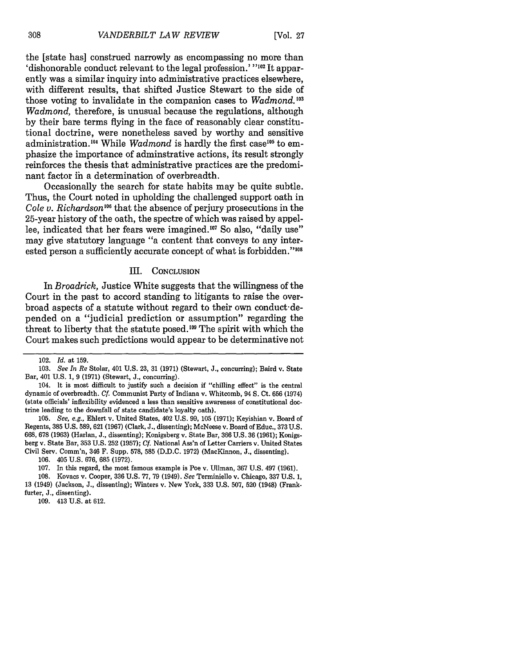[Vol. **27**

the [state has] construed narrowly as encompassing no more than 'dishonorable conduct relevant to the legal profession.' **102** It apparently was a similar inquiry into administrative practices elsewhere, with different results, that shifted Justice Stewart to the side of those voting to invalidate in the companion cases to *Wadmond.'°3 Wadmond,* therefore, is unusual because the regulations, although by their bare terms flying in the face of reasonably clear constitutional doctrine, were nonetheless saved by worthy and sensitive administration.<sup>104</sup> While *Wadmond* is hardly the first case<sup>105</sup> to emphasize the importance of adminstrative actions, its result strongly reinforces the thesis that administrative practices are the predominant factor ih a determination of overbreadth.

Occasionally the search for state habits may be quite subtle. Thus, the Court noted in upholding the challenged support oath in *Cole v. Richardson*<sup>106</sup> that the absence of perjury prosecutions in the 25-year history of the oath, the spectre of which was raised by appellee, indicated that her fears were imagined.<sup>107</sup> So also, "daily use" may give statutory language "a content that conveys to any interested person a sufficiently accurate concept of what is forbidden."<sup>108</sup>

#### III. **CONCLUSION**

*In Broadrick,* Justice White suggests that the willingness of the Court in the past to accord standing to litigants to raise the overbroad aspects of a statute without regard to their own conduct'depended on a "judicial prediction or assumption" regarding the threat to liberty that the statute posed.<sup>109</sup> The spirit with which the Court makes such predictions would appear to be determinative not

<sup>102.</sup> *Id.* at 159.

<sup>103.</sup> *See In Re* Stolar, 401 U.S. 23, 31 (1971) (Stewart, J., concurring); Baird v. State Bar, 401 U.S. 1, 9 (1971) (Stewart, J., concurring).

<sup>104.</sup> It is most difficult to justify such a decision if "chilling effect" is the central dynamic of overbreadth. *Cf.* Communist Party of Indiana v. Whitcomb, 94 **S.** Ct. 656 (1974) (state officials' inflexibility evidenced a less than sensitive awareness of constitutional doctrine leading to the downfall of state candidate's loyalty oath).

<sup>105.</sup> *See, e.g.,* Ehlert v. United States, 402 U.S. 99, 105 (1971); Keyishian v. Board of Regents, 385 U.S. 589, 621 (1967) (Clark, J., dissenting); McNeese v. Board of Educ., 373 U.S. 668, 678 (1963) (Harlan, J., dissenting); Konigsberg v. State Bar, 366 U.S. 36 (1961); Konigsberg v. State Bar, 353 U.S. 252 (1957); **Cf.** National Ass'n of Letter Carriers v. United States Civil Serv. Comm'n, 346 F. Supp. 578, 585 (D.D.C. 1972) (MacKinnon, J., dissenting).

<sup>106. 405</sup> U.S. 676, 685 (1972).

<sup>107.</sup> In this regard, the most famous example is Poe v. Ullman, 367 U.S. 497 (1961).

<sup>108.</sup> Kovacs v. Cooper, 336 U.S. 77, 79 (1949). *See* Terminiello v. Chicago, 337 U.S. 1, 13 (1949) (Jackson, **J.,** dissenting); Winters v. New York, 333 U.S. 507, 520 (1948) (Frankfurter, J., dissenting).

<sup>109. 413</sup> U.S. at 612.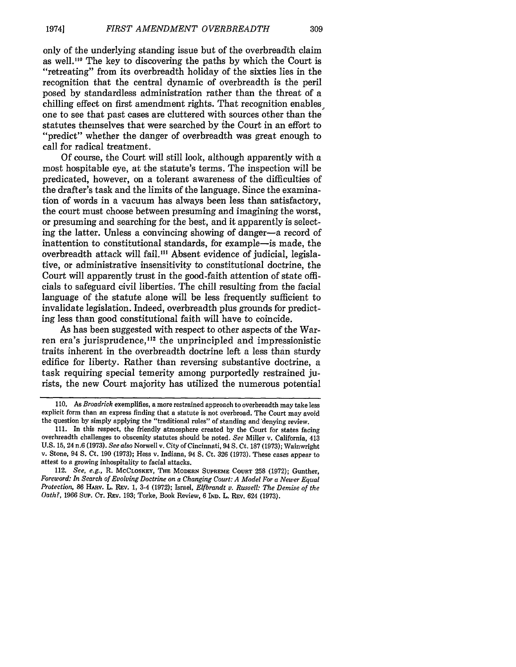309

only of the underlying standing issue but of the overbreadth claim as well.<sup>110</sup> The key to discovering the paths by which the Court is "retreating" from its overbreadth holiday of the sixties lies in the recognition that the central dynamic of overbreadth is the peril posed by standardless administration rather than the threat of a chilling effect on first amendment rights. That recognition enables one to see that past cases are cluttered with sources other than the statutes themselves that were searched by the Court in an effort to "predict" whether the danger of overbreadth was great enough to call for radical treatment.

Of course, the Court will still look, although apparently with a most hospitable eye, at the statute's terms. The inspection will be predicated, however, on a tolerant awareness of the difficulties of the drafter's task and the limits of the language. Since the examination of words in a vacuum has always been less than satisfactory, the court must choose between presuming and imagining the worst, or presuming and searching for the best, and it apparently is selecting the latter. Unless a convincing showing of danger-a record of inattention to constitutional standards, for example-is made, the overbreadth attack will fail."' Absent evidence of judicial, legislative, or administrative insensitivity to constitutional doctrine, the Court will apparently trust in the good-faith attention of state officials to safeguard civil liberties. The chill resulting from the facial language of the statute alone will be less frequently sufficient to invalidate legislation. Indeed, overbreadth plus grounds for predicting less than good constitutional faith will have to coincide.

As has been suggested with respect to other aspects of the Warren era's jurisprudence,<sup>112</sup> the unprincipled and impressionistic traits inherent in the overbreadth doctrine left a less than sturdy edifice for liberty. Rather than reversing substantive doctrine, a task requiring special temerity among purportedly restrained jurists, the new Court majority has utilized the numerous potential

112. *See, e.g.,* R. **McCLOSKEY, THE MODERN SUPREME COURT 258 (1972);** Gunther, *Foreword: In Search of Evolving Doctrine on a Changing Court: A Model For a Newer Equal Protection, 86 HARV. L. REV. 1, 3-4 (1972); Israel, Elfbrandt v. Russell: The Demise of the Oath?,* **1966 SuP. CT. REV. 193;** Torke, Book Review, **6** IND. L. **REV.** 624 **(1973).**

**<sup>110.</sup>** *As Broadrick* exemplifies, a more restrained approach to overbreadth may take less explicit form than an express finding that a statute is not overbroad. The Court may avoid the question by simply applying the "traditional rules" of standing and denying review.

<sup>111.</sup> In this respect, the friendly atmosphere created by the Court for states facing overbreadth challenges to obscenity statutes should be noted. *See* Miller v. California, 413 v. Stone, 94 S. Ct. 190 (1973); Hess v. Indiana, 94 S. Ct. 326 (1973). These cases appear to attest to a growing inhospitality to facial attacks.